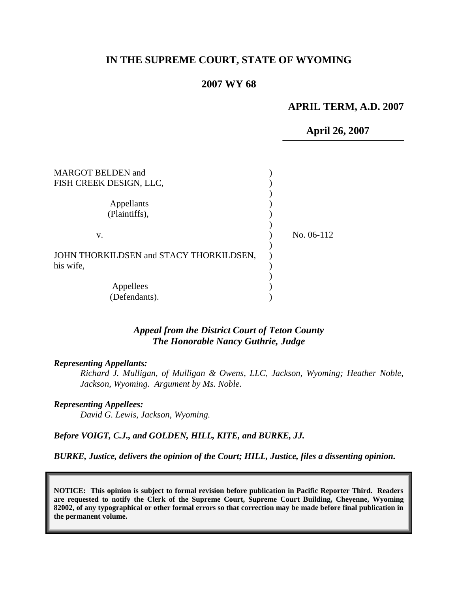# **IN THE SUPREME COURT, STATE OF WYOMING**

### **2007 WY 68**

#### **APRIL TERM, A.D. 2007**

**April 26, 2007**

| <b>MARGOT BELDEN and</b>                |            |
|-----------------------------------------|------------|
| FISH CREEK DESIGN, LLC,                 |            |
|                                         |            |
| Appellants                              |            |
| (Plaintiffs),                           |            |
|                                         |            |
| V.                                      | No. 06-112 |
|                                         |            |
| JOHN THORKILDSEN and STACY THORKILDSEN, |            |
| his wife,                               |            |
|                                         |            |
| Appellees                               |            |
| (Defendants).                           |            |

#### *Appeal from the District Court of Teton County The Honorable Nancy Guthrie, Judge*

#### *Representing Appellants:*

*Richard J. Mulligan, of Mulligan & Owens, LLC, Jackson, Wyoming; Heather Noble, Jackson, Wyoming. Argument by Ms. Noble.*

#### *Representing Appellees:*

*David G. Lewis, Jackson, Wyoming.*

*Before VOIGT, C.J., and GOLDEN, HILL, KITE, and BURKE, JJ.*

*BURKE, Justice, delivers the opinion of the Court; HILL, Justice, files a dissenting opinion.*

**NOTICE: This opinion is subject to formal revision before publication in Pacific Reporter Third. Readers are requested to notify the Clerk of the Supreme Court, Supreme Court Building, Cheyenne, Wyoming 82002, of any typographical or other formal errors so that correction may be made before final publication in the permanent volume.**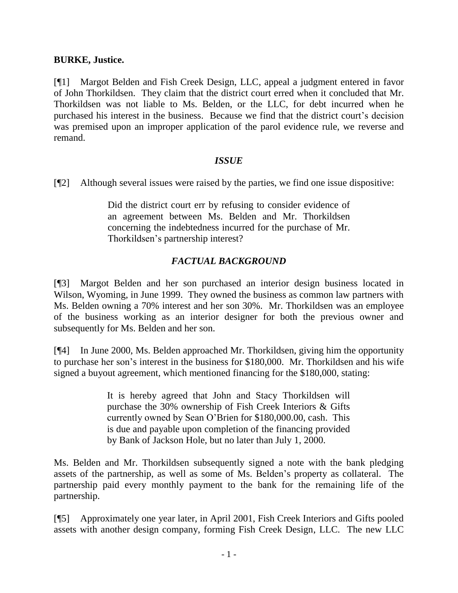# **BURKE, Justice.**

[¶1] Margot Belden and Fish Creek Design, LLC, appeal a judgment entered in favor of John Thorkildsen. They claim that the district court erred when it concluded that Mr. Thorkildsen was not liable to Ms. Belden, or the LLC, for debt incurred when he purchased his interest in the business. Because we find that the district court's decision was premised upon an improper application of the parol evidence rule, we reverse and remand.

### *ISSUE*

[¶2] Although several issues were raised by the parties, we find one issue dispositive:

Did the district court err by refusing to consider evidence of an agreement between Ms. Belden and Mr. Thorkildsen concerning the indebtedness incurred for the purchase of Mr. Thorkildsen's partnership interest?

# *FACTUAL BACKGROUND*

[¶3] Margot Belden and her son purchased an interior design business located in Wilson, Wyoming, in June 1999. They owned the business as common law partners with Ms. Belden owning a 70% interest and her son 30%. Mr. Thorkildsen was an employee of the business working as an interior designer for both the previous owner and subsequently for Ms. Belden and her son.

[¶4] In June 2000, Ms. Belden approached Mr. Thorkildsen, giving him the opportunity to purchase her son's interest in the business for \$180,000. Mr. Thorkildsen and his wife signed a buyout agreement, which mentioned financing for the \$180,000, stating:

> It is hereby agreed that John and Stacy Thorkildsen will purchase the 30% ownership of Fish Creek Interiors & Gifts currently owned by Sean O'Brien for \$180,000.00, cash. This is due and payable upon completion of the financing provided by Bank of Jackson Hole, but no later than July 1, 2000.

Ms. Belden and Mr. Thorkildsen subsequently signed a note with the bank pledging assets of the partnership, as well as some of Ms. Belden's property as collateral. The partnership paid every monthly payment to the bank for the remaining life of the partnership.

[¶5] Approximately one year later, in April 2001, Fish Creek Interiors and Gifts pooled assets with another design company, forming Fish Creek Design, LLC. The new LLC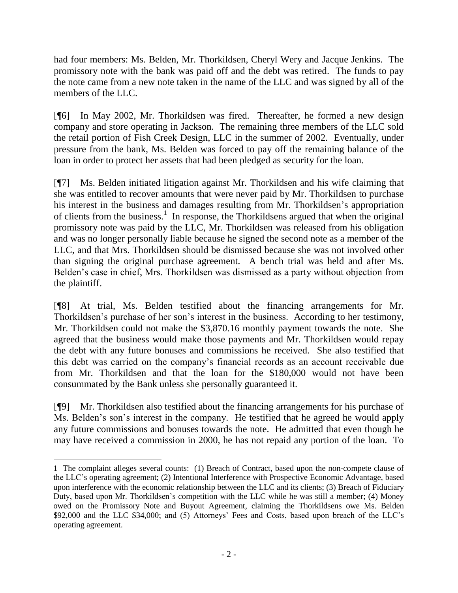had four members: Ms. Belden, Mr. Thorkildsen, Cheryl Wery and Jacque Jenkins. The promissory note with the bank was paid off and the debt was retired. The funds to pay the note came from a new note taken in the name of the LLC and was signed by all of the members of the LLC.

[¶6] In May 2002, Mr. Thorkildsen was fired. Thereafter, he formed a new design company and store operating in Jackson. The remaining three members of the LLC sold the retail portion of Fish Creek Design, LLC in the summer of 2002. Eventually, under pressure from the bank, Ms. Belden was forced to pay off the remaining balance of the loan in order to protect her assets that had been pledged as security for the loan.

[¶7] Ms. Belden initiated litigation against Mr. Thorkildsen and his wife claiming that she was entitled to recover amounts that were never paid by Mr. Thorkildsen to purchase his interest in the business and damages resulting from Mr. Thorkildsen's appropriation of clients from the business.<sup>1</sup> In response, the Thorkildsens argued that when the original promissory note was paid by the LLC, Mr. Thorkildsen was released from his obligation and was no longer personally liable because he signed the second note as a member of the LLC, and that Mrs. Thorkildsen should be dismissed because she was not involved other than signing the original purchase agreement. A bench trial was held and after Ms. Belden's case in chief, Mrs. Thorkildsen was dismissed as a party without objection from the plaintiff.

[¶8] At trial, Ms. Belden testified about the financing arrangements for Mr. Thorkildsen's purchase of her son's interest in the business. According to her testimony, Mr. Thorkildsen could not make the \$3,870.16 monthly payment towards the note. She agreed that the business would make those payments and Mr. Thorkildsen would repay the debt with any future bonuses and commissions he received. She also testified that this debt was carried on the company's financial records as an account receivable due from Mr. Thorkildsen and that the loan for the \$180,000 would not have been consummated by the Bank unless she personally guaranteed it.

[¶9] Mr. Thorkildsen also testified about the financing arrangements for his purchase of Ms. Belden's son's interest in the company. He testified that he agreed he would apply any future commissions and bonuses towards the note. He admitted that even though he may have received a commission in 2000, he has not repaid any portion of the loan. To

 $\overline{a}$ 

<sup>1</sup> The complaint alleges several counts: (1) Breach of Contract, based upon the non-compete clause of the LLC's operating agreement; (2) Intentional Interference with Prospective Economic Advantage, based upon interference with the economic relationship between the LLC and its clients; (3) Breach of Fiduciary Duty, based upon Mr. Thorkildsen's competition with the LLC while he was still a member; (4) Money owed on the Promissory Note and Buyout Agreement, claiming the Thorkildsens owe Ms. Belden \$92,000 and the LLC \$34,000; and (5) Attorneys' Fees and Costs, based upon breach of the LLC's operating agreement.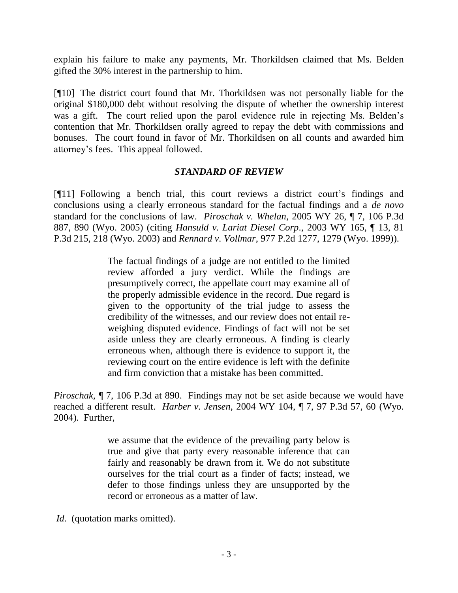explain his failure to make any payments, Mr. Thorkildsen claimed that Ms. Belden gifted the 30% interest in the partnership to him.

[¶10] The district court found that Mr. Thorkildsen was not personally liable for the original \$180,000 debt without resolving the dispute of whether the ownership interest was a gift. The court relied upon the parol evidence rule in rejecting Ms. Belden's contention that Mr. Thorkildsen orally agreed to repay the debt with commissions and bonuses. The court found in favor of Mr. Thorkildsen on all counts and awarded him attorney's fees. This appeal followed.

### *STANDARD OF REVIEW*

[¶11] Following a bench trial, this court reviews a district court's findings and conclusions using a clearly erroneous standard for the factual findings and a *de novo* standard for the conclusions of law. *Piroschak v. Whelan*, 2005 WY 26, ¶ 7, 106 P.3d 887, 890 (Wyo. 2005) (citing *[Hansuld v. Lariat Diesel Corp](http://web2.westlaw.com/find/default.wl?rs=WLW7.02&serialnum=2003938761&fn=_top&sv=Split&tc=-1&findtype=Y&tf=-1&db=4645&vr=2.0&rp=%2Ffind%2Fdefault.wl&mt=Wyoming)*., 2003 WY 165, ¶ 13, 81 [P.3d 215, 218](http://web2.westlaw.com/find/default.wl?rs=WLW7.02&serialnum=2003938761&fn=_top&sv=Split&tc=-1&findtype=Y&tf=-1&db=4645&vr=2.0&rp=%2Ffind%2Fdefault.wl&mt=Wyoming) (Wyo. 2003) and *Rennard v. Vollmar,* [977 P.2d 1277, 1279 \(Wyo.](http://web2.westlaw.com/find/default.wl?tf=-1&rs=WLW7.02&referencepositiontype=S&serialnum=1999101952&fn=_top&sv=Split&tc=-1&findtype=Y&referenceposition=1279&db=661&vr=2.0&rp=%2Ffind%2Fdefault.wl&mt=Wyoming) 1999)).

> The factual findings of a judge are not entitled to the limited review afforded a jury verdict. While the findings are presumptively correct, the appellate court may examine all of the properly admissible evidence in the record. Due regard is given to the opportunity of the trial judge to assess the credibility of the witnesses, and our review does not entail reweighing disputed evidence. Findings of fact will not be set aside unless they are clearly erroneous. A finding is clearly erroneous when, although there is evidence to support it, the reviewing court on the entire evidence is left with the definite and firm conviction that a mistake has been committed.

*Piroschak*, ¶ 7, 106 P.3d at 890. Findings may not be set aside because we would have reached a different result. *Harber v. Jensen*[, 2004 WY 104, ¶ 7, 97 P.3d 57, 60 \(Wyo.](http://web2.westlaw.com/find/default.wl?rs=WLW7.02&serialnum=2004223764&fn=_top&sv=Split&tc=-1&findtype=Y&tf=-1&db=4645&vr=2.0&rp=%2Ffind%2Fdefault.wl&mt=Wyoming) [2004\).](http://web2.westlaw.com/find/default.wl?rs=WLW7.02&serialnum=2004223764&fn=_top&sv=Split&tc=-1&findtype=Y&tf=-1&db=4645&vr=2.0&rp=%2Ffind%2Fdefault.wl&mt=Wyoming) Further,

> we assume that the evidence of the prevailing party below is true and give that party every reasonable inference that can fairly and reasonably be drawn from it. We do not substitute ourselves for the trial court as a finder of facts; instead, we defer to those findings unless they are unsupported by the record or erroneous as a matter of law.

*Id.* (quotation marks omitted).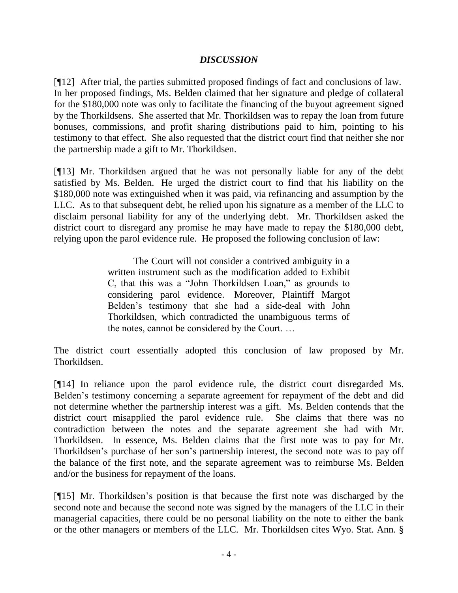# *DISCUSSION*

[¶12] After trial, the parties submitted proposed findings of fact and conclusions of law. In her proposed findings, Ms. Belden claimed that her signature and pledge of collateral for the \$180,000 note was only to facilitate the financing of the buyout agreement signed by the Thorkildsens. She asserted that Mr. Thorkildsen was to repay the loan from future bonuses, commissions, and profit sharing distributions paid to him, pointing to his testimony to that effect. She also requested that the district court find that neither she nor the partnership made a gift to Mr. Thorkildsen.

[¶13] Mr. Thorkildsen argued that he was not personally liable for any of the debt satisfied by Ms. Belden. He urged the district court to find that his liability on the \$180,000 note was extinguished when it was paid, via refinancing and assumption by the LLC. As to that subsequent debt, he relied upon his signature as a member of the LLC to disclaim personal liability for any of the underlying debt. Mr. Thorkildsen asked the district court to disregard any promise he may have made to repay the \$180,000 debt, relying upon the parol evidence rule. He proposed the following conclusion of law:

> The Court will not consider a contrived ambiguity in a written instrument such as the modification added to Exhibit C, that this was a "John Thorkildsen Loan," as grounds to considering parol evidence. Moreover, Plaintiff Margot Belden's testimony that she had a side-deal with John Thorkildsen, which contradicted the unambiguous terms of the notes, cannot be considered by the Court. …

The district court essentially adopted this conclusion of law proposed by Mr. Thorkildsen.

[¶14] In reliance upon the parol evidence rule, the district court disregarded Ms. Belden's testimony concerning a separate agreement for repayment of the debt and did not determine whether the partnership interest was a gift. Ms. Belden contends that the district court misapplied the parol evidence rule. She claims that there was no contradiction between the notes and the separate agreement she had with Mr. Thorkildsen. In essence, Ms. Belden claims that the first note was to pay for Mr. Thorkildsen's purchase of her son's partnership interest, the second note was to pay off the balance of the first note, and the separate agreement was to reimburse Ms. Belden and/or the business for repayment of the loans.

[¶15] Mr. Thorkildsen's position is that because the first note was discharged by the second note and because the second note was signed by the managers of the LLC in their managerial capacities, there could be no personal liability on the note to either the bank or the other managers or members of the LLC. Mr. Thorkildsen cites Wyo. Stat. Ann. §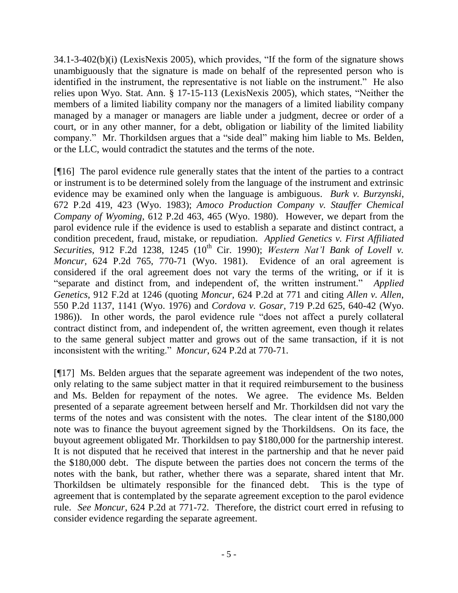34.1-3-402(b)(i) (LexisNexis 2005), which provides, "If the form of the signature shows unambiguously that the signature is made on behalf of the represented person who is identified in the instrument, the representative is not liable on the instrument." He also relies upon Wyo. Stat. Ann. § 17-15-113 (LexisNexis 2005), which states, "Neither the members of a limited liability company nor the managers of a limited liability company managed by a manager or managers are liable under a judgment, decree or order of a court, or in any other manner, for a debt, obligation or liability of the limited liability company." Mr. Thorkildsen argues that a "side deal" making him liable to Ms. Belden, or the LLC, would contradict the statutes and the terms of the note.

[¶16] The parol evidence rule generally states that the intent of the parties to a contract or instrument is to be determined solely from the language of the instrument and extrinsic evidence may be examined only when the language is ambiguous. *Burk v. Burzynski*, 672 P.2d 419, 423 (Wyo. 1983); *[Amoco Production Company v. Stauffer Chemical](http://web2.westlaw.com/find/default.wl?tf=-1&rs=WLW7.02&referencepositiontype=S&serialnum=1980115169&fn=_top&sv=Split&tc=-1&findtype=Y&referenceposition=465&db=661&vr=2.0&rp=%2Ffind%2Fdefault.wl&mt=Wyoming)  Company of Wyoming*[, 612 P.2d 463, 465 \(Wyo. 1980\).](http://web2.westlaw.com/find/default.wl?tf=-1&rs=WLW7.02&referencepositiontype=S&serialnum=1980115169&fn=_top&sv=Split&tc=-1&findtype=Y&referenceposition=465&db=661&vr=2.0&rp=%2Ffind%2Fdefault.wl&mt=Wyoming) However, we depart from the parol evidence rule if the evidence is used to establish a separate and distinct contract, a condition precedent, fraud, mistake, or repudiation. *Applied Genetics v. First Affiliated Securities*, 912 F.2d 1238, 1245 (10<sup>th</sup> Cir. 1990); *Western Nat'l Bank of Lovell v. Moncur,* [624 P.2d 765, 770-71 \(Wyo.](http://web2.westlaw.com/find/default.wl?tf=-1&rs=WLW7.02&referencepositiontype=S&serialnum=1981108825&fn=_top&sv=Split&tc=-1&findtype=Y&referenceposition=770&db=661&vr=2.0&rp=%2Ffind%2Fdefault.wl&mt=Wyoming) 1981). Evidence of an oral agreement is considered if the oral agreement does not vary the terms of the writing, or if it is "separate and distinct from, and independent of, the written instrument." *Applied Genetics*, 912 F.2d at 1246 (quoting *Moncur,* [624 P.2d at 771 and citing](http://web2.westlaw.com/find/default.wl?tf=-1&rs=WLW7.02&referencepositiontype=S&serialnum=1981108825&fn=_top&sv=Split&tc=-1&findtype=Y&referenceposition=771&db=661&vr=2.0&rp=%2Ffind%2Fdefault.wl&mt=Wyoming) *[Allen v. Allen](http://web2.westlaw.com/find/default.wl?tf=-1&rs=WLW7.02&referencepositiontype=S&serialnum=1981108825&fn=_top&sv=Split&tc=-1&findtype=Y&referenceposition=771&db=661&vr=2.0&rp=%2Ffind%2Fdefault.wl&mt=Wyoming)*, 550 P.2d 1137, 1141 (Wyo. 1976) and *Cordova v. Gosar*[, 719 P.2d 625, 640-42 \(Wyo.](http://web2.westlaw.com/find/default.wl?tf=-1&rs=WLW7.02&referencepositiontype=S&serialnum=1986126577&fn=_top&sv=Split&tc=-1&findtype=Y&referenceposition=640&db=661&vr=2.0&rp=%2Ffind%2Fdefault.wl&mt=Wyoming) [1986\)\).](http://web2.westlaw.com/find/default.wl?tf=-1&rs=WLW7.02&referencepositiontype=S&serialnum=1986126577&fn=_top&sv=Split&tc=-1&findtype=Y&referenceposition=640&db=661&vr=2.0&rp=%2Ffind%2Fdefault.wl&mt=Wyoming) In other words, the parol evidence rule "does not affect a purely collateral contract distinct from, and independent of, the written agreement, even though it relates to the same general subject matter and grows out of the same transaction, if it is not inconsistent with the writing." *Moncur*, 624 P.2d at 770-71.

[¶17] Ms. Belden argues that the separate agreement was independent of the two notes, only relating to the same subject matter in that it required reimbursement to the business and Ms. Belden for repayment of the notes. We agree. The evidence Ms. Belden presented of a separate agreement between herself and Mr. Thorkildsen did not vary the terms of the notes and was consistent with the notes. The clear intent of the \$180,000 note was to finance the buyout agreement signed by the Thorkildsens. On its face, the buyout agreement obligated Mr. Thorkildsen to pay \$180,000 for the partnership interest. It is not disputed that he received that interest in the partnership and that he never paid the \$180,000 debt. The dispute between the parties does not concern the terms of the notes with the bank, but rather, whether there was a separate, shared intent that Mr. Thorkildsen be ultimately responsible for the financed debt. This is the type of agreement that is contemplated by the separate agreement exception to the parol evidence rule. *See Moncur*[, 624 P.2d at 771-72.](http://web2.westlaw.com/find/default.wl?tf=-1&rs=WLW7.02&referencepositiontype=S&serialnum=1981108825&fn=_top&sv=Split&tc=-1&findtype=Y&referenceposition=771&db=661&vr=2.0&rp=%2Ffind%2Fdefault.wl&mt=Wyoming) Therefore, the district court erred in refusing to consider evidence regarding the separate agreement.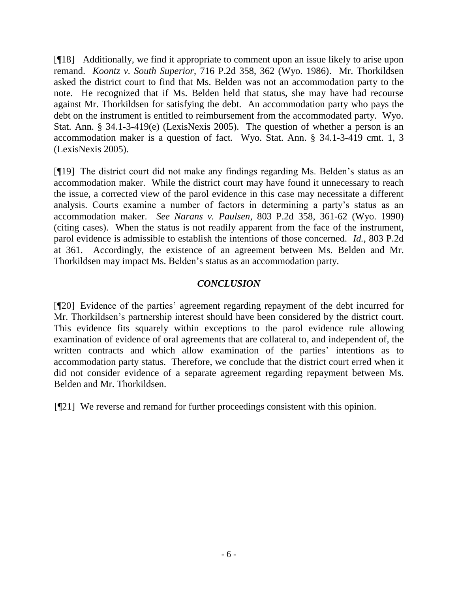[¶18] Additionally, we find it appropriate to comment upon an issue likely to arise upon remand. *Koontz v. South Superior*, 716 P.2d 358, 362 (Wyo. 1986). Mr. Thorkildsen asked the district court to find that Ms. Belden was not an accommodation party to the note. He recognized that if Ms. Belden held that status, she may have had recourse against Mr. Thorkildsen for satisfying the debt. An accommodation party who pays the debt on the instrument is entitled to reimbursement from the accommodated party. Wyo. Stat. Ann. § 34.1-3-419(e) (LexisNexis 2005). The question of whether a person is an accommodation maker is a question of fact. Wyo. Stat. Ann. § 34.1-3-419 cmt. 1, 3 (LexisNexis 2005).

[¶19] The district court did not make any findings regarding Ms. Belden's status as an accommodation maker. While the district court may have found it unnecessary to reach the issue, a corrected view of the parol evidence in this case may necessitate a different analysis. Courts examine a number of factors in determining a party's status as an accommodation maker. *See Narans v. Paulsen*, 803 P.2d 358, 361-62 (Wyo. 1990) (citing cases). When the status is not readily apparent from the face of the instrument, parol evidence is admissible to establish the intentions of those concerned. *Id.,* 803 P.2d at 361. Accordingly, the existence of an agreement between Ms. Belden and Mr. Thorkildsen may impact Ms. Belden's status as an accommodation party.

# *CONCLUSION*

[¶20] Evidence of the parties' agreement regarding repayment of the debt incurred for Mr. Thorkildsen's partnership interest should have been considered by the district court. This evidence fits squarely within exceptions to the parol evidence rule allowing examination of evidence of oral agreements that are collateral to, and independent of, the written contracts and which allow examination of the parties' intentions as to accommodation party status. Therefore, we conclude that the district court erred when it did not consider evidence of a separate agreement regarding repayment between Ms. Belden and Mr. Thorkildsen.

[¶21] We reverse and remand for further proceedings consistent with this opinion.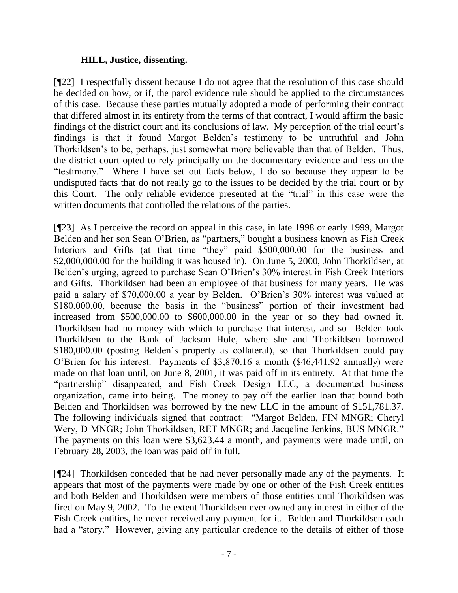### **HILL, Justice, dissenting.**

[¶22] I respectfully dissent because I do not agree that the resolution of this case should be decided on how, or if, the parol evidence rule should be applied to the circumstances of this case. Because these parties mutually adopted a mode of performing their contract that differed almost in its entirety from the terms of that contract, I would affirm the basic findings of the district court and its conclusions of law. My perception of the trial court's findings is that it found Margot Belden's testimony to be untruthful and John Thorkildsen's to be, perhaps, just somewhat more believable than that of Belden. Thus, the district court opted to rely principally on the documentary evidence and less on the "testimony." Where I have set out facts below, I do so because they appear to be undisputed facts that do not really go to the issues to be decided by the trial court or by this Court. The only reliable evidence presented at the "trial" in this case were the written documents that controlled the relations of the parties.

[¶23] As I perceive the record on appeal in this case, in late 1998 or early 1999, Margot Belden and her son Sean O'Brien, as "partners," bought a business known as Fish Creek Interiors and Gifts (at that time "they" paid \$500,000.00 for the business and \$2,000,000.00 for the building it was housed in). On June 5, 2000, John Thorkildsen, at Belden's urging, agreed to purchase Sean O'Brien's 30% interest in Fish Creek Interiors and Gifts. Thorkildsen had been an employee of that business for many years. He was paid a salary of \$70,000.00 a year by Belden. O'Brien's 30% interest was valued at \$180,000.00, because the basis in the "business" portion of their investment had increased from \$500,000.00 to \$600,000.00 in the year or so they had owned it. Thorkildsen had no money with which to purchase that interest, and so Belden took Thorkildsen to the Bank of Jackson Hole, where she and Thorkildsen borrowed \$180,000.00 (posting Belden's property as collateral), so that Thorkildsen could pay O'Brien for his interest. Payments of \$3,870.16 a month (\$46,441.92 annually) were made on that loan until, on June 8, 2001, it was paid off in its entirety. At that time the "partnership" disappeared, and Fish Creek Design LLC, a documented business organization, came into being. The money to pay off the earlier loan that bound both Belden and Thorkildsen was borrowed by the new LLC in the amount of \$151,781.37. The following individuals signed that contract: "Margot Belden, FIN MNGR; Cheryl Wery, D MNGR; John Thorkildsen, RET MNGR; and Jacqeline Jenkins, BUS MNGR." The payments on this loan were \$3,623.44 a month, and payments were made until, on February 28, 2003, the loan was paid off in full.

[¶24] Thorkildsen conceded that he had never personally made any of the payments. It appears that most of the payments were made by one or other of the Fish Creek entities and both Belden and Thorkildsen were members of those entities until Thorkildsen was fired on May 9, 2002. To the extent Thorkildsen ever owned any interest in either of the Fish Creek entities, he never received any payment for it. Belden and Thorkildsen each had a "story." However, giving any particular credence to the details of either of those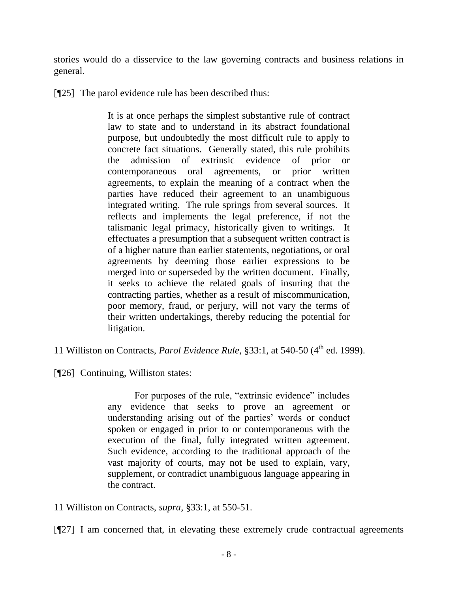stories would do a disservice to the law governing contracts and business relations in general.

[¶25] The parol evidence rule has been described thus:

It is at once perhaps the simplest substantive rule of contract law to state and to understand in its abstract foundational purpose, but undoubtedly the most difficult rule to apply to concrete fact situations. Generally stated, this rule prohibits the admission of extrinsic evidence of prior or contemporaneous oral agreements, or prior written agreements, to explain the meaning of a contract when the parties have reduced their agreement to an unambiguous integrated writing. The rule springs from several sources. It reflects and implements the legal preference, if not the talismanic legal primacy, historically given to writings. It effectuates a presumption that a subsequent written contract is of a higher nature than earlier statements, negotiations, or oral agreements by deeming those earlier expressions to be merged into or superseded by the written document. Finally, it seeks to achieve the related goals of insuring that the contracting parties, whether as a result of miscommunication, poor memory, fraud, or perjury, will not vary the terms of their written undertakings, thereby reducing the potential for litigation.

11 Williston on Contracts, *Parol Evidence Rule*, §33:1, at 540-50 (4<sup>th</sup> ed. 1999).

[¶26] Continuing, Williston states:

For purposes of the rule, "extrinsic evidence" includes any evidence that seeks to prove an agreement or understanding arising out of the parties' words or conduct spoken or engaged in prior to or contemporaneous with the execution of the final, fully integrated written agreement. Such evidence, according to the traditional approach of the vast majority of courts, may not be used to explain, vary, supplement, or contradict unambiguous language appearing in the contract.

11 Williston on Contracts, *supra,* §33:1, at 550-51.

[¶27] I am concerned that, in elevating these extremely crude contractual agreements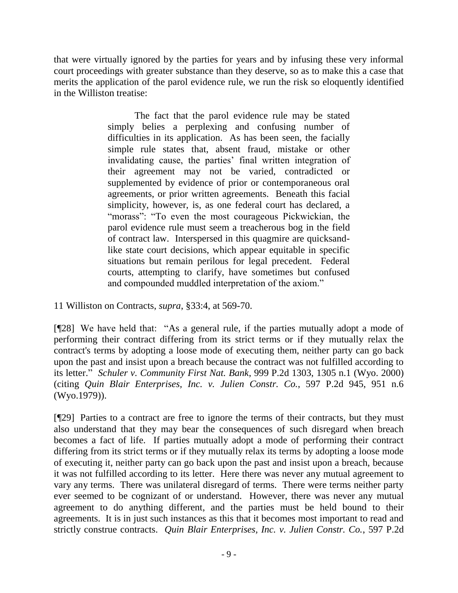that were virtually ignored by the parties for years and by infusing these very informal court proceedings with greater substance than they deserve, so as to make this a case that merits the application of the parol evidence rule, we run the risk so eloquently identified in the Williston treatise:

> The fact that the parol evidence rule may be stated simply belies a perplexing and confusing number of difficulties in its application. As has been seen, the facially simple rule states that, absent fraud, mistake or other invalidating cause, the parties' final written integration of their agreement may not be varied, contradicted or supplemented by evidence of prior or contemporaneous oral agreements, or prior written agreements. Beneath this facial simplicity, however, is, as one federal court has declared, a "morass": "To even the most courageous Pickwickian, the parol evidence rule must seem a treacherous bog in the field of contract law. Interspersed in this quagmire are quicksandlike state court decisions, which appear equitable in specific situations but remain perilous for legal precedent. Federal courts, attempting to clarify, have sometimes but confused and compounded muddled interpretation of the axiom."

11 Williston on Contracts, *supra*, §33:4, at 569-70.

[¶28] We have held that: "As a general rule, if the parties mutually adopt a mode of performing their contract differing from its strict terms or if they mutually relax the contract's terms by adopting a loose mode of executing them, neither party can go back upon the past and insist upon a breach because the contract was not fulfilled according to its letter." *Schuler v. Community First Nat. Bank*, 999 P.2d 1303, 1305 n.1 (Wyo. 2000) (citing *Quin Blair Enterprises, Inc. v. Julien Constr. Co.*, 597 P.2d 945, 951 n.6 (Wyo.1979)).

[¶29] Parties to a contract are free to ignore the terms of their contracts, but they must also understand that they may bear the consequences of such disregard when breach becomes a fact of life. If parties mutually adopt a mode of performing their contract differing from its strict terms or if they mutually relax its terms by adopting a loose mode of executing it, neither party can go back upon the past and insist upon a breach, because it was not fulfilled according to its letter. Here there was never any mutual agreement to vary any terms. There was unilateral disregard of terms. There were terms neither party ever seemed to be cognizant of or understand. However, there was never any mutual agreement to do anything different, and the parties must be held bound to their agreements. It is in just such instances as this that it becomes most important to read and strictly construe contracts. *Quin Blair Enterprises, Inc. v. Julien Constr. Co.*, 597 P.2d